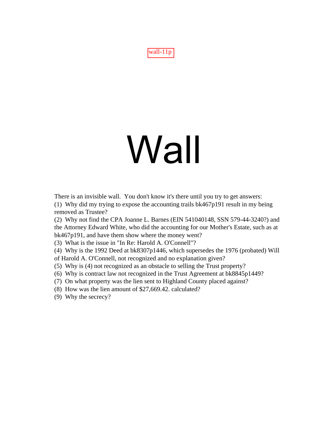

# Wall

There is an invisible wall. You don't know it's there until you try to get answers: (1) Why did my trying to expose the accounting trails bk467p191 result in my being removed as Trustee?

(2) Why not find the CPA Joanne L. Barnes (EIN 541040148, SSN 579-44-3240?) and the Attorney Edward White, who did the accounting for our Mother's Estate, such as at bk467p191, and have them show where the money went?

(3) What is the issue in "In Re: Harold A. O'Connell"?

(4) Why is the 1992 Deed at bk8307p1446, which supersedes the 1976 (probated) Will of Harold A. O'Connell, not recognized and no explanation given?

(5) Why is (4) not recognized as an obstacle to selling the Trust property?

(6) Why is contract law not recognized in the Trust Agreement at bk8845p1449?

- (7) On what property was the lien sent to Highland County placed against?
- (8) How was the lien amount of \$27,669.42. calculated?
- (9) Why the secrecy?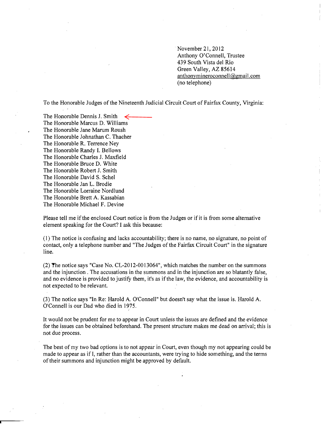November 21,2012 Anthony O'Connell, Trustee 439 South Vista del Rio Green Valley, AZ 85614 anthonymineroconnell@gmail.com (no telephone)

To the Honorable Judges of the Nineteenth Judicial Circuit Court of Fairfax County, Virginia:

The Honorable Dennis J. Smith The Honorable Marcus D. Williams The Honorable Jane Marum Roush The Honorable Johnathan C. Thacher The Honorable R. Terrence Ney The Honorable Randy I. Bellows The Honorable Charles 1. Maxfield The Honorable Bruce D. White The Honorable Robert J. Smith The Honorable David S. Schel The Honorable Jan L. Brodie The Honorable Lorraine Nordlund The Honorable Brett A. Kassabian The Honorable Michael F. Devine

Please tell me ifthe enclosed Court notice is from the Judges or ifit is from some alternative element speaking for the Court? I ask this because:

(l) The notice is confusing and lacks accountability; there is no name, no signature, no point of contact, only a telephone number and "The Judges of the Fairfax Circuit Court" in the signature line.

(2) The notice says "Case No. CL-20l2-00l3064", which matches the number on the summons and the injunction. The accusations in the summons and in the injunction are so blatantly false, and no evidence is provided to justify them, it's as ifthe law, the evidence, and accountability is not expected to be relevant.

(3) The notice says "In Re: Harold A. O'Connell" but doesn't say what the issue is. Harold A. O'Connell is our Dad who died in 1975.

It would not be prudent for me to appear in Court unless the issues are defined and the evidence for the issues can be obtained beforehand. The present structure makes me dead on arrival; this is not due process.

The best of my two bad options is to not appear in Court, even though my not appearing could be made to appear as ifI, rather than the accountants, were trying to hide something, and the terms of their summons and injunction might be approved by default.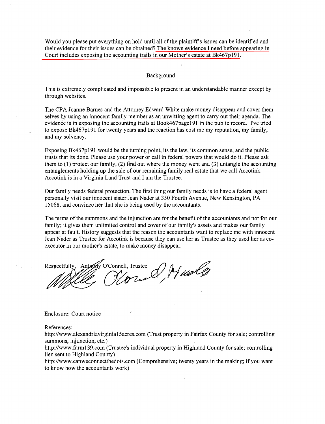Would you please put everything on hold until all of the plaintiff's issues can be identified and their evidence for their issues can be obtained? The known evidence I need before appearing in Court includes exposing the accounting trails in our Mother's estate at Bk467p191.

#### Background

This is extremely complicated and impossible to present in an understandable manner except by through websites.

The CPA Joanne Barnes and the Attorney Edward White make money disappear and cover them selves by using an innocent family member as an unwitting agent to carry out their agenda. The evidence is in exposing the accounting trails at Book467page191 in the public record. I've tried to expose Bk467p191 for twenty years and the reaction has cost me my reputation, my family, and my solvency.

Exposing Bk467p191 would be the turning point, its the law, its common sense, and the public trusts that its done. Please use your power or call in federal powers that would do it. Please ask them to (1) protect our family, (2) find out where the money went and (3) untangle the accounting entanglements holding up the sale of our remaining family real estate that we call Accotink. Accotink is in a Virginia Land Trust and I am the Trustee.

Our family needs federal protection. The first thing our family needs is to have a federal agent personally visit our innocent sister Jean Nader at 350 Fourth Avenue, New Kensington, PA 15068, and convince her that she is being used by the accountants.

The terms of the summons and the injunction are for the benefit of the accountants and not for our family; it gives them unlimited control and cover of our family's assets and makes our family appear at fault. History suggests that the reason the accountants want to replace me with innocent Jean Nader as Trustee for Accotink is because they can use her as Trustee as they used her as coexecutor in our mother's estate, to make money disappear.

Respectfully, Anthony O'Connell, Trustee rustee of Marles

#### Enclosure: Court notice

References:

http://www.alexandriavirginiaI5acres.com (Trust property in Fairfax County for sale; controlling summons, injunction, etc.)

http://www.farmI39.com (Trustee's individual property in Highland County for sale; controlling lien sent to Highland County)

http://www.canweconnectthedots.com (Comprehensive; twenty years in the making; if you want to know how the accountants work)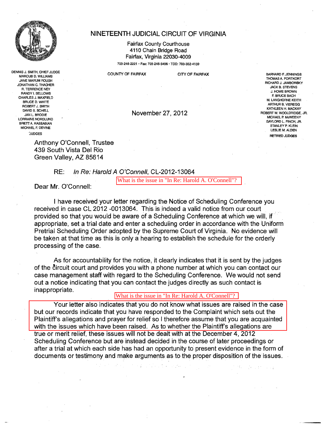

## NINETEENTH JUDICIAL CIRCUIT OF VIRGINIA

Fairfax County Courthouse 4110 Chain Bridge Road Fairfax, Virginia 22030-4009 703·246·2221 • Fax: 703·246·5496' TOO: 703-352-4139

COUNTY OF FAIRFAX CITY OF FAIRFAX BARNARD F. JENNINGS THOMASA. FORTKORT RICHARD J. JAMBORSKY JACK B. STEVENS J. HOWE BROWN F. BRUCE BACH M. LANGHORNE KEITH ARTHUR B. VIEREGG KATHLEEN H. MACKAY ROBERT W. WOOLDRIDGE, JR. MICHAEL P. MoWEENY GAYlORD l. FINCH, JR. STANLEY P. KLEIN LESliE M. AlDEN **RETIRED JUDGES** 

DENNIS J. SMITH, CHIEF JUDGE MARCUS D. WILLIAMS JANE MARUM ROUSH JONATHAN C. THACHER R. TERRENCE NEY RANDY I. BELLOWS CHARLES J. MAXFIELD BRUCE D. WHITE ROBERT J. SMITH DAVID S. SCHELL JAN l. BRODIE LORRAINE NORDLUND BRETT A. KASSABIAN MICHAEl F. DEVINE 'JUDGES

November27, 2012

Anthony O'Connell, Trustee 439 South Vista Del Rio Green Valley, AZ 85614

RE: In Re: Harold A O'Connell, CL-2012-13064

What is the issue in "In Re: Harold A. O'Connell"?

Dear Mr. O'Connell:

I have received your letter regarding the Notice of Scheduling Conference you received in case CL 2012 -0013064. This is indeed a valid notice from our court provided so that you would be aware of a Scheduling Conference at which we will, if appropriate, set a trial date and enter a scheduling order in accordance with the Uniform Pretrial Scheduling Order adopted by the Supreme Court of Virginia. No evidence will be taken at that time as this is only a hearing to establish the schedule for the orderly processing of the case.

As for accountability for the notice, it clearly indicates that it is sent by the judges of the circuit court and provides you with a phone number at which you can contact our case management staff with regard to the Scheduling Conference. We would not send out a notice indicating that you can contact the judges directly as such contact is inappropriate.

#### What is the issue in "In Re: Harold A. O'Connell"?

Your letter also indicates that you do not know what issues are raised in the case but our records indicate that you have responded to the Complaint which sets out the Plaintiff's allegations and prayer for relief so I therefore assume that you are acquainted with the issues which have been raised. As to whether the Plaintiff's allegations are true or merit relief, these issues will not be dealt with at the December 4,2012 Scheduling Conference but are instead decided in the course of later proceedings or after a trial at which each side has had an opportunity to present evidence in the form of documents or testimony and make arguments as to the proper disposition of the issues.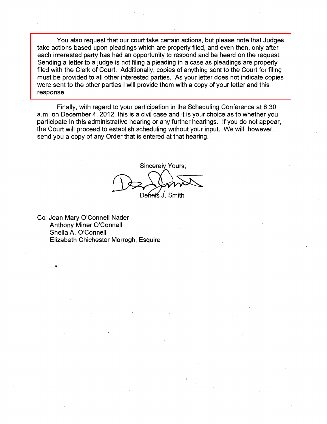You also request that our court take certain actions, but please note that Judges take actions based upon pleadings which are properly filed, and even then, only after each interested party has had an opportunity to respond and be heard on the request. Sending a letter to a judge is not filing a pleading in a case as pleadings are properly filed with the Clerk of Court. Additionally, copies of anything sent to the Court for filing must be provided to all other interested parties. As your letter does not indicate copies were sent to the other parties I will provide them with a copy of your letter and this response.

Finally, with regard to your participation in the Scheduling Conference at 8:30 a.m. on December 4,2012, this is a civil case and it is your choice as to whether you participate in this administrative hearing or any further hearings. If you do not appear, the Court will proceed to establish scheduling without your input. We will, however, send you a copy of any Order that is entered at that hearing.

Sincerely Yours, Definition J. Smith

Cc: Jean Mary O'Connell Nader Anthony Miner O'Connell Sheila A. O'Connell Elizabeth Chichester Morrogh, Esquire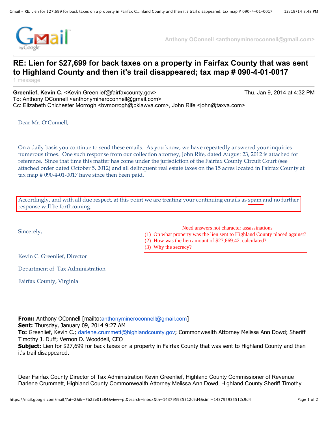

**Anthony OConnell <anthonymineroconnell@gmail.com>**

# **RE: Lien for \$27,699 for back taxes on a property in Fairfax County that was sent to Highland County and then it's trail disappeared; tax map # 090-4-01-0017**

1 message

**Greenlief, Kevin C.** <Kevin.Greenlief@fairfaxcounty.gov> Thu, Jan 9, 2014 at 4:32 PM To: Anthony OConnell <anthonymineroconnell@gmail.com> Cc: Elizabeth Chichester Morrogh <br/>bvmorrogh@bklawva.com>, John Rife <john@taxva.com>

Dear Mr. O'Connell,

On a daily basis you continue to send these emails. As you know, we have repeatedly answered your inquiries numerous times. One such response from our collection attorney, John Rife, dated August 23, 2012 is attached for reference. Since that time this matter has come under the jurisdiction of the Fairfax County Circuit Court (see attached order dated October 5, 2012) and all delinquent real estate taxes on the 15 acres located in Fairfax County at tax map # 090-4-01-0017 have since then been paid.

Accordingly, and with all due respect, at this point we are treating your continuing emails as spam and no further response will be forthcoming.

Sincerely,

Need answers not character assassinations

(1) On what property was the lien sent to Highland County placed against?

(2) How was the lien amount of \$27,669.42. calculated?

(3) Why the secrecy?

Kevin C. Greenlief, Director

Department of Tax Administration

Fairfax County, Virginia

**From:** Anthony OConnell [mailto:[anthonymineroconnell@gmail.com](mailto:anthonymineroconnell@gmail.com)]

**Sent:** Thursday, January 09, 2014 9:27 AM

**To:** Greenlief, Kevin C.; [darlene.crummett@highlandcounty.gov](mailto:darlene.crummett@highlandcounty.gov); Commonwealth Attorney Melissa Ann Dowd; Sheriff Timothy J. Duff; Vernon D. Wooddell, CEO

**Subject:** Lien for \$27,699 for back taxes on a property in Fairfax County that was sent to Highland County and then it's trail disappeared.

Dear Fairfax County Director of Tax Administration Kevin Greenlief, Highland County Commissioner of Revenue Darlene Crummett, Highland County Commonwealth Attorney Melissa Ann Dowd, Highland County Sheriff Timothy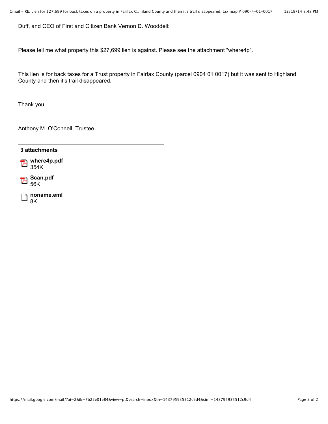Duff, and CEO of First and Citizen Bank Vernon D. Wooddell:

Please tell me what property this \$27,699 lien is against. Please see the attachment "where4p".

This lien is for back taxes for a Trust property in Fairfax County (parcel 0904 01 0017) but it was sent to Highland County and then it's trail disappeared.

Thank you.

Anthony M. O'Connell, Trustee

| 3 attachments                |  |
|------------------------------|--|
| where4p.pdf<br>$354K$        |  |
| $\mathbb{Z}$ Scan.pdf<br>56K |  |
| noname.eml<br>8K             |  |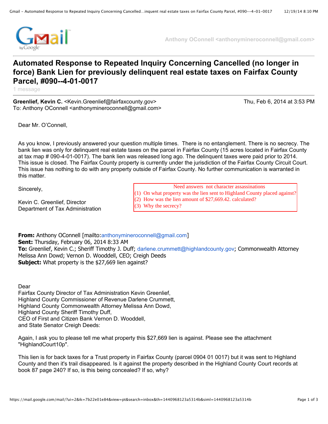

**Anthony OConnell <anthonymineroconnell@gmail.com>**

## **Automated Response to Repeated Inquiry Concerning Cancelled (no longer in force) Bank Lien for previously delinquent real estate taxes on Fairfax County Parcel, #090--4-01-0017**

1 message

Greenlief, Kevin C. <Kevin.Greenlief@fairfaxcounty.gov>
Thu, Feb 6, 2014 at 3:53 PM To: Anthony OConnell <anthonymineroconnell@gmail.com>

Dear Mr. O'Connell,

As you know, I previously answered your question multiple times. There is no entanglement. There is no secrecy. The bank lien was only for delinquent real estate taxes on the parcel in Fairfax County (15 acres located in Fairfax County at tax map # 090-4-01-0017). The bank lien was released long ago. The delinquent taxes were paid prior to 2014. This issue is closed. The Fairfax County property is currently under the jurisdiction of the Fairfax County Circuit Court. This issue has nothing to do with any property outside of Fairfax County. No further communication is warranted in this matter.

Sincerely,

Kevin C. Greenlief, Director Department of Tax Administration

 Need answers not character assassinations (1) On what property was the lien sent to Highland County placed against? (2) How was the lien amount of \$27,669.42. calculated? (3) Why the secrecy?

**From:** Anthony OConnell [mailto:[anthonymineroconnell@gmail.com](mailto:anthonymineroconnell@gmail.com)] **Sent:** Thursday, February 06, 2014 8:33 AM **To:** Greenlief, Kevin C.; Sheriff Timothy J. Duff; [darlene.crummett@highlandcounty.gov](mailto:darlene.crummett@highlandcounty.gov); Commonwealth Attorney Melissa Ann Dowd; Vernon D. Wooddell, CEO; Creigh Deeds **Subject:** What property is the \$27,669 lien against?

Dear

Fairfax County Director of Tax Administration Kevin Greenlief, Highland County Commissioner of Revenue Darlene Crummett, Highland County Commonwealth Attorney Melissa Ann Dowd, Highland County Sheriff Timothy Duff, CEO of First and Citizen Bank Vernon D. Wooddell, and State Senator Creigh Deeds:

Again, I ask you to please tell me what property this \$27,669 lien is against. Please see the attachment "HighlandCourt10p".

This lien is for back taxes for a Trust property in Fairfax County (parcel 0904 01 0017) but it was sent to Highland County and then it's trail disappeared. Is it against the property described in the Highland County Court records at book 87 page 240? If so, is this being concealed? If so, why?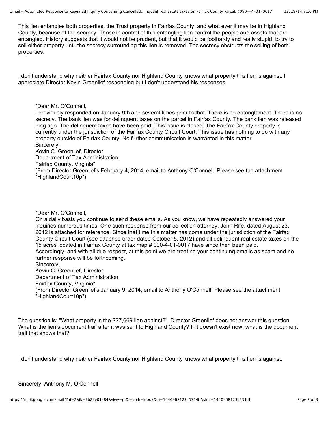This lien entangles both properties, the Trust property in Fairfax County, and what ever it may be in Highland County, because of the secrecy. Those in control of this entangling lien control the people and assets that are entangled. History suggests that it would not be prudent, but that it would be foolhardy and really stupid, to try to sell either property until the secrecy surrounding this lien is removed. The secrecy obstructs the selling of both properties.

I don't understand why neither Fairfax County nor Highland County knows what property this lien is against. I appreciate Director Kevin Greenlief responding but I don't understand his responses:

"Dear Mr. O'Connell,

I previously responded on January 9th and several times prior to that. There is no entanglement. There is no secrecy. The bank lien was for delinquent taxes on the parcel in Fairfax County. The bank lien was released long ago. The delinquent taxes have been paid. This issue is closed. The Fairfax County property is currently under the jurisdiction of the Fairfax County Circuit Court. This issue has nothing to do with any property outside of Fairfax County. No further communication is warranted in this matter. Sincerely, Kevin C. Greenlief, Director

Department of Tax Administration Fairfax County, Virginia" (From Director Greenlief's February 4, 2014, email to Anthony O'Connell. Please see the attachment "HighlandCourt10p")

"Dear Mr. O'Connell,

On a daily basis you continue to send these emails. As you know, we have repeatedly answered your inquiries numerous times. One such response from our collection attorney, John Rife, dated August 23, 2012 is attached for reference. Since that time this matter has come under the jurisdiction of the Fairfax County Circuit Court (see attached order dated October 5, 2012) and all delinquent real estate taxes on the 15 acres located in Fairfax County at tax map # 090-4-01-0017 have since then been paid. Accordingly, and with all due respect, at this point we are treating your continuing emails as spam and no further response will be forthcoming. Sincerely, Kevin C. Greenlief, Director Department of Tax Administration

Fairfax County, Virginia" (From Director Greenlief's January 9, 2014, email to Anthony O'Connell. Please see the attachment "HighlandCourt10p")

The question is: "What property is the \$27,669 lien against?". Director Greenlief does not answer this question. What is the lien's document trail after it was sent to Highland County? If it doesn't exist now, what is the document trail that shows that?

I don't understand why neither Fairfax County nor Highland County knows what property this lien is against.

Sincerely, Anthony M. O'Connell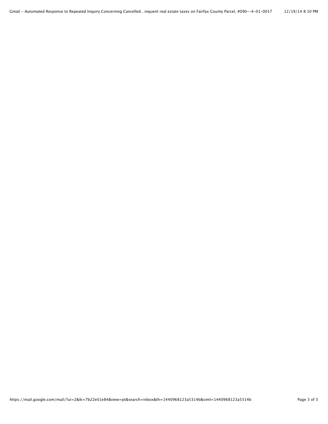Gmail - Automated Response to Repeated Inquiry Concerning Cancelled…inquent real estate taxes on Fairfax County Parcel, #090--4-01-0017 12/19/14 8:10 PM